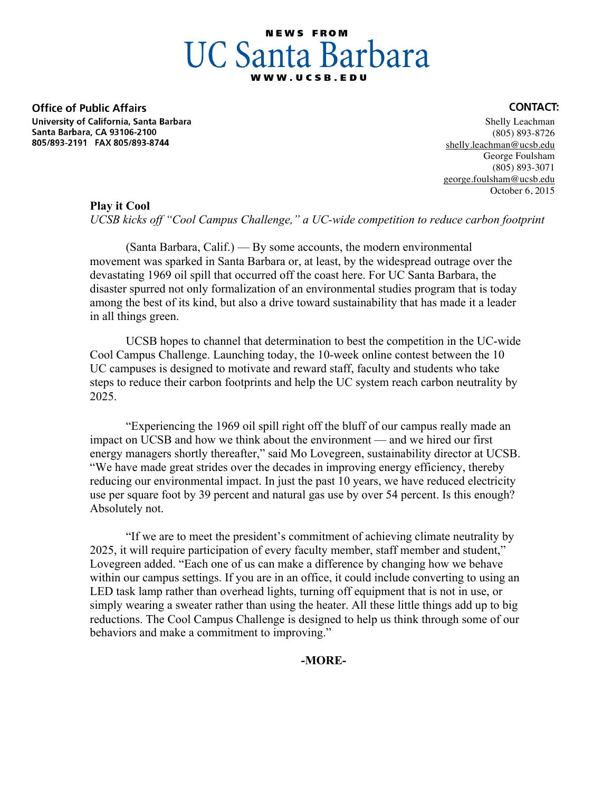# **NEWS FROM UC Santa Barbara**

**Office of Public Affairs** University of California, Santa Barbara Santa Barbara, CA 93106-2100 805/893-2191 FAX 805/893-8744

#### Shelly Leachman (805) 893-8726 shelly.leachman@ucsb.edu George Foulsham (805) 893-3071 george.foulsham@ucsb.edu October 6, 2015

### **Play it Cool**

*UCSB kicks off "Cool Campus Challenge," a UC-wide competition to reduce carbon footprint*

(Santa Barbara, Calif.) — By some accounts, the modern environmental movement was sparked in Santa Barbara or, at least, by the widespread outrage over the devastating 1969 oil spill that occurred off the coast here. For UC Santa Barbara, the disaster spurred not only formalization of an environmental studies program that is today among the best of its kind, but also a drive toward sustainability that has made it a leader in all things green.

UCSB hopes to channel that determination to best the competition in the UC-wide Cool Campus Challenge. Launching today, the 10-week online contest between the 10 UC campuses is designed to motivate and reward staff, faculty and students who take steps to reduce their carbon footprints and help the UC system reach carbon neutrality by 2025.

"Experiencing the 1969 oil spill right off the bluff of our campus really made an impact on UCSB and how we think about the environment — and we hired our first energy managers shortly thereafter," said Mo Lovegreen, sustainability director at UCSB. "We have made great strides over the decades in improving energy efficiency, thereby reducing our environmental impact. In just the past 10 years, we have reduced electricity use per square foot by 39 percent and natural gas use by over 54 percent. Is this enough? Absolutely not.

"If we are to meet the president's commitment of achieving climate neutrality by 2025, it will require participation of every faculty member, staff member and student," Lovegreen added. "Each one of us can make a difference by changing how we behave within our campus settings. If you are in an office, it could include converting to using an LED task lamp rather than overhead lights, turning off equipment that is not in use, or simply wearing a sweater rather than using the heater. All these little things add up to big reductions. The Cool Campus Challenge is designed to help us think through some of our behaviors and make a commitment to improving."

# **-MORE-**

# **CONTACT:**